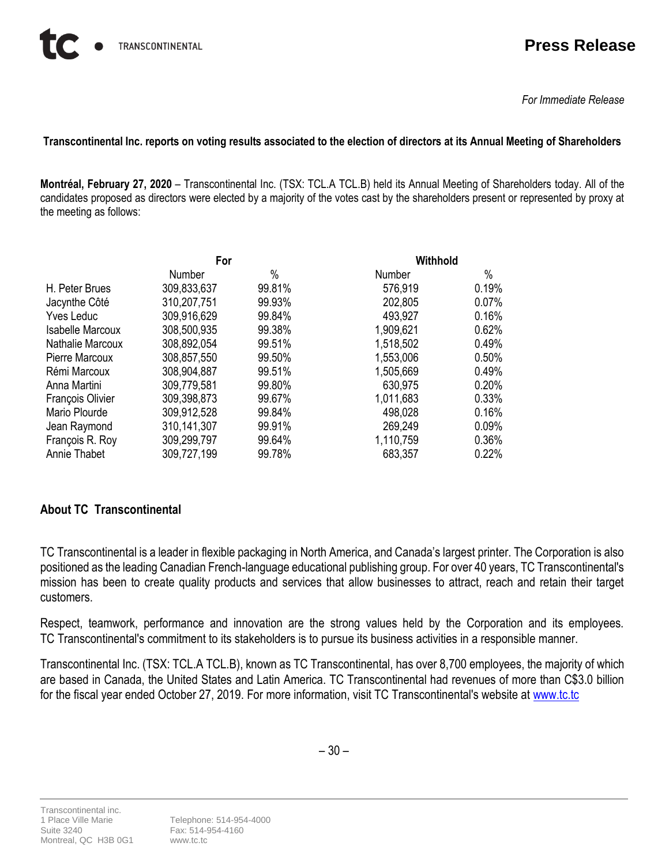## **Press Release**

*For Immediate Release*

## **Transcontinental Inc. reports on voting results associated to the election of directors at its Annual Meeting of Shareholders**

**Montréal, February 27, 2020** – Transcontinental Inc. (TSX: TCL.A TCL.B) held its Annual Meeting of Shareholders today. All of the candidates proposed as directors were elected by a majority of the votes cast by the shareholders present or represented by proxy at the meeting as follows:

|                         | For           |        | Withhold      |       |
|-------------------------|---------------|--------|---------------|-------|
|                         | <b>Number</b> | $\%$   | <b>Number</b> | %     |
| H. Peter Brues          | 309,833,637   | 99.81% | 576,919       | 0.19% |
| Jacynthe Côté           | 310,207,751   | 99.93% | 202,805       | 0.07% |
| <b>Yves Leduc</b>       | 309,916,629   | 99.84% | 493,927       | 0.16% |
| <b>Isabelle Marcoux</b> | 308,500,935   | 99.38% | 1,909,621     | 0.62% |
| Nathalie Marcoux        | 308,892,054   | 99.51% | 1,518,502     | 0.49% |
| Pierre Marcoux          | 308,857,550   | 99.50% | 1,553,006     | 0.50% |
| Rémi Marcoux            | 308,904,887   | 99.51% | 1,505,669     | 0.49% |
| Anna Martini            | 309,779,581   | 99.80% | 630,975       | 0.20% |
| <b>François Olivier</b> | 309,398,873   | 99.67% | 1,011,683     | 0.33% |
| Mario Plourde           | 309,912,528   | 99.84% | 498,028       | 0.16% |
| Jean Raymond            | 310,141,307   | 99.91% | 269,249       | 0.09% |
| François R. Roy         | 309,299,797   | 99.64% | 1,110,759     | 0.36% |
| Annie Thabet            | 309,727,199   | 99.78% | 683,357       | 0.22% |

## **About TC Transcontinental**

TC Transcontinental is a leader in flexible packaging in North America, and Canada's largest printer. The Corporation is also positioned as the leading Canadian French-language educational publishing group. For over 40 years, TC Transcontinental's mission has been to create quality products and services that allow businesses to attract, reach and retain their target customers.

Respect, teamwork, performance and innovation are the strong values held by the Corporation and its employees. TC Transcontinental's commitment to its stakeholders is to pursue its business activities in a responsible manner.

Transcontinental Inc. (TSX: TCL.A TCL.B), known as TC Transcontinental, has over 8,700 employees, the majority of which are based in Canada, the United States and Latin America. TC Transcontinental had revenues of more than C\$3.0 billion for the fiscal year ended October 27, 2019. For more information, visit TC Transcontinental's website at [www.tc.tc](http://www.tc.tc/)